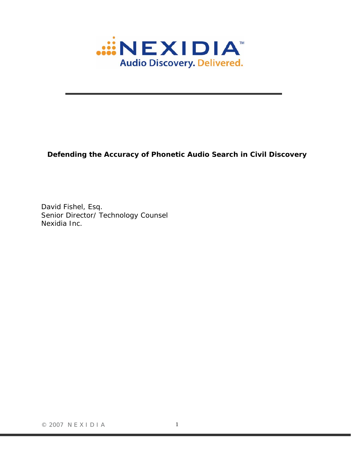

# **Defending the Accuracy of Phonetic Audio Search in Civil Discovery**

David Fishel, Esq. Senior Director/ Technology Counsel Nexidia Inc.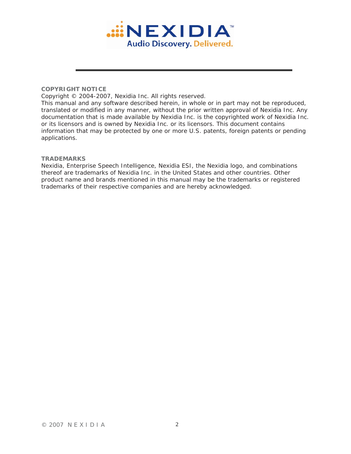

#### **COPYRIGHT NOTICE**

Copyright © 2004-2007, Nexidia Inc. All rights reserved.

This manual and any software described herein, in whole or in part may not be reproduced, translated or modified in any manner, without the prior written approval of Nexidia Inc. Any documentation that is made available by Nexidia Inc. is the copyrighted work of Nexidia Inc. or its licensors and is owned by Nexidia Inc. or its licensors. This document contains information that may be protected by one or more U.S. patents, foreign patents or pending applications.

#### **TRADEMARKS**

Nexidia, Enterprise Speech Intelligence, Nexidia ESI, the Nexidia logo, and combinations thereof are trademarks of Nexidia Inc. in the United States and other countries. Other product name and brands mentioned in this manual may be the trademarks or registered trademarks of their respective companies and are hereby acknowledged.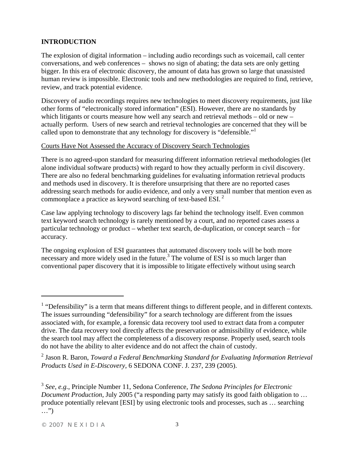## **INTRODUCTION**

The explosion of digital information – including audio recordings such as voicemail, call center conversations, and web conferences – shows no sign of abating; the data sets are only getting bigger. In this era of electronic discovery, the amount of data has grown so large that unassisted human review is impossible. Electronic tools and new methodologies are required to find, retrieve, review, and track potential evidence.

Discovery of audio recordings requires new technologies to meet discovery requirements, just like other forms of "electronically stored information" (ESI). However, there are no standards by which litigants or courts measure how well any search and retrieval methods – old or new – actually perform. Users of new search and retrieval technologies are concerned that they will be called upon to demonstrate that any technology for discovery is "defensible."<sup>1</sup>

#### Courts Have Not Assessed the Accuracy of Discovery Search Technologies

There is no agreed-upon standard for measuring different information retrieval methodologies (let alone individual software products) with regard to how they actually perform in civil discovery. There are also no federal benchmarking guidelines for evaluating information retrieval products and methods used in discovery. It is therefore unsurprising that there are no reported cases addressing search methods for audio evidence, and only a very small number that mention even as commonplace a practice as keyword searching of text-based ESI. 2

Case law applying technology to discovery lags far behind the technology itself. Even common text keyword search technology is rarely mentioned by a court, and no reported cases assess a particular technology or product – whether text search, de-duplication, or concept search – for accuracy.

The ongoing explosion of ESI guarantees that automated discovery tools will be both more necessary and more widely used in the future.<sup>3</sup> The volume of ESI is so much larger than conventional paper discovery that it is impossible to litigate effectively without using search

1

 $<sup>1</sup>$  "Defensibility" is a term that means different things to different people, and in different contexts.</sup> The issues surrounding "defensibility" for a search technology are different from the issues associated with, for example, a forensic data recovery tool used to extract data from a computer drive. The data recovery tool directly affects the preservation or admissibility of evidence, while the search tool may affect the completeness of a discovery response. Properly used, search tools do not have the ability to alter evidence and do not affect the chain of custody.

<sup>&</sup>lt;sup>2</sup> Jason R. Baron, *Toward a Federal Benchmarking Standard for Evaluating Information Retrieval Products Used in E-Discovery*, 6 SEDONA CONF. J. 237, 239 (2005).

<sup>3</sup> *See*, *e.g.*, Principle Number 11, Sedona Conference, *The Sedona Principles for Electronic Document Production, July 2005* ("a responding party may satisfy its good faith obligation to ... produce potentially relevant [ESI] by using electronic tools and processes, such as … searching …")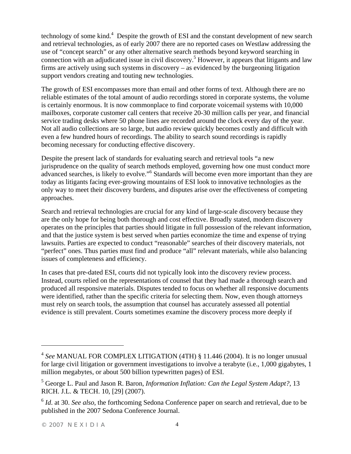technology of some kind.<sup>4</sup> Despite the growth of ESI and the constant development of new search and retrieval technologies, as of early 2007 there are no reported cases on Westlaw addressing the use of "concept search" or any other alternative search methods beyond keyword searching in connection with an adjudicated issue in civil discovery.<sup>5</sup> However, it appears that litigants and law firms are actively using such systems in discovery – as evidenced by the burgeoning litigation support vendors creating and touting new technologies.

The growth of ESI encompasses more than email and other forms of text. Although there are no reliable estimates of the total amount of audio recordings stored in corporate systems, the volume is certainly enormous. It is now commonplace to find corporate voicemail systems with 10,000 mailboxes, corporate customer call centers that receive 20-30 million calls per year, and financial service trading desks where 50 phone lines are recorded around the clock every day of the year. Not all audio collections are so large, but audio review quickly becomes costly and difficult with even a few hundred hours of recordings. The ability to search sound recordings is rapidly becoming necessary for conducting effective discovery.

Despite the present lack of standards for evaluating search and retrieval tools "a new jurisprudence on the quality of search methods employed, governing how one must conduct more advanced searches, is likely to evolve."<sup>6</sup> Standards will become even more important than they are today as litigants facing ever-growing mountains of ESI look to innovative technologies as the only way to meet their discovery burdens, and disputes arise over the effectiveness of competing approaches.

Search and retrieval technologies are crucial for any kind of large-scale discovery because they are the only hope for being both thorough and cost effective. Broadly stated, modern discovery operates on the principles that parties should litigate in full possession of the relevant information, and that the justice system is best served when parties economize the time and expense of trying lawsuits. Parties are expected to conduct "reasonable" searches of their discovery materials, not "perfect" ones. Thus parties must find and produce "all" relevant materials, while also balancing issues of completeness and efficiency.

In cases that pre-dated ESI, courts did not typically look into the discovery review process. Instead, courts relied on the representations of counsel that they had made a thorough search and produced all responsive materials. Disputes tended to focus on whether all responsive documents were identified, rather than the specific criteria for selecting them. Now, even though attorneys must rely on search tools, the assumption that counsel has accurately assessed all potential evidence is still prevalent. Courts sometimes examine the discovery process more deeply if

<sup>4</sup> *See* MANUAL FOR COMPLEX LITIGATION (4TH) § 11.446 (2004). It is no longer unusual for large civil litigation or government investigations to involve a terabyte (i.e., 1,000 gigabytes, 1 million megabytes, or about 500 billion typewritten pages) of ESI.

<sup>5</sup> George L. Paul and Jason R. Baron, *Information Inflation: Can the Legal System Adapt?*, 13 RICH. J.L. & TECH. 10, [29] (2007).

<sup>6</sup> *Id*. at 30. *See also*, the forthcoming Sedona Conference paper on search and retrieval, due to be published in the 2007 Sedona Conference Journal.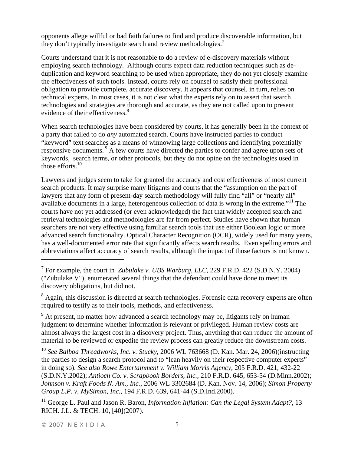opponents allege willful or bad faith failures to find and produce discoverable information, but they don't typically investigate search and review methodologies.<sup>7</sup>

Courts understand that it is not reasonable to do a review of e-discovery materials without employing search technology. Although courts expect data reduction techniques such as deduplication and keyword searching to be used when appropriate, they do not yet closely examine the effectiveness of such tools. Instead, courts rely on counsel to satisfy their professional obligation to provide complete, accurate discovery. It appears that counsel, in turn, relies on technical experts. In most cases, it is not clear what the experts rely on to assert that search technologies and strategies are thorough and accurate, as they are not called upon to present evidence of their effectiveness.<sup>8</sup>

When search technologies have been considered by courts, it has generally been in the context of a party that failed to do *any* automated search. Courts have instructed parties to conduct "keyword" text searches as a means of winnowing large collections and identifying potentially responsive documents.<sup>9</sup> A few courts have directed the parties to confer and agree upon sets of keywords, search terms, or other protocols, but they do not opine on the technologies used in those efforts. $10$ 

Lawyers and judges seem to take for granted the accuracy and cost effectiveness of most current search products. It may surprise many litigants and courts that the "assumption on the part of lawyers that any form of present-day search methodology will fully find "all" or "nearly all" available documents in a large, heterogeneous collection of data is wrong in the extreme."11 The courts have not yet addressed (or even acknowledged) the fact that widely accepted search and retrieval technologies and methodologies are far from perfect. Studies have shown that human searchers are not very effective using familiar search tools that use either Boolean logic or more advanced search functionality. Optical Character Recognition (OCR), widely used for many years, has a well-documented error rate that significantly affects search results. Even spelling errors and abbreviations affect accuracy of search results, although the impact of those factors is not known.

<sup>8</sup> Again, this discussion is directed at search technologies. Forensic data recovery experts are often required to testify as to their tools, methods, and effectiveness.

 $9<sup>9</sup>$  At present, no matter how advanced a search technology may be, litigants rely on human judgment to determine whether information is relevant or privileged. Human review costs are almost always the largest cost in a discovery project. Thus, anything that can reduce the amount of material to be reviewed or expedite the review process can greatly reduce the downstream costs.

<sup>10</sup> *See Balboa Threadworks, Inc. v. Stucky*, 2006 WL 763668 (D. Kan. Mar. 24, 2006)(instructing the parties to design a search protocol and to "lean heavily on their respective computer experts" in doing so). *See also Rowe Entertainment v. William Morris Agency,* 205 F.R.D. 421, 432-22 (S.D.N.Y.2002); *Antioch Co. v. Scrapbook Borders, Inc.,* 210 F.R.D. 645, 653-54 (D.Minn.2002); *Johnson v. Kraft Foods N. Am., Inc.*, 2006 WL 3302684 (D. Kan. Nov. 14, 2006); *Simon Property Group L.P. v. MySimon, Inc.,* 194 F.R.D. 639, 641-44 (S.D.Ind.2000).

<sup>11</sup> George L. Paul and Jason R. Baron, *Information Inflation: Can the Legal System Adapt?*, 13 RICH. J.L. & TECH. 10, [40](2007).

<sup>7</sup> For example, the court in *Zubulake v. UBS Warburg, LLC*, 229 F.R.D. 422 (S.D.N.Y. 2004) ("Zubulake V"), enumerated several things that the defendant could have done to meet its discovery obligations, but did not.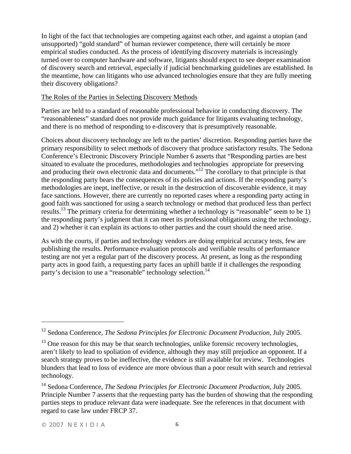In light of the fact that technologies are competing against each other, and against a utopian (and unsupported) "gold standard" of human reviewer competence, there will certainly be more empirical studies conducted. As the process of identifying discovery materials is increasingly turned over to computer hardware and software, litigants should expect to see deeper examination of discovery search and retrieval, especially if judicial benchmarking guidelines are established. In the meantime, how can litigants who use advanced technologies ensure that they are fully meeting their discovery obligations?

### The Roles of the Parties in Selecting Discovery Methods

Parties are held to a standard of reasonable professional behavior in conducting discovery. The "reasonableness" standard does not provide much guidance for litigants evaluating technology, and there is no method of responding to e-discovery that is presumptively reasonable.

Choices about discovery technology are left to the parties' discretion. Responding parties have the primary responsibility to select methods of discovery that produce satisfactory results. The Sedona Conference's Electronic Discovery Principle Number 6 asserts that "Responding parties are best situated to evaluate the procedures, methodologies and technologies appropriate for preserving and producing their own electronic data and documents."12 The corollary to that principle is that the responding party bears the consequences of its policies and actions. If the responding party's methodologies are inept, ineffective, or result in the destruction of discoverable evidence, it may face sanctions. However, there are currently no reported cases where a responding party acting in good faith was sanctioned for using a search technology or method that produced less than perfect results.<sup>13</sup> The primary criteria for determining whether a technology is "reasonable" seem to be 1) the responding party's judgment that it can meet its professional obligations using the technology, and 2) whether it can explain its actions to other parties and the court should the need arise.

As with the courts, if parties and technology vendors are doing empirical accuracy tests, few are publishing the results. Performance evaluation protocols and verifiable results of performance testing are not yet a regular part of the discovery process. At present, as long as the responding party acts in good faith, a requesting party faces an uphill battle if it challenges the responding party's decision to use a "reasonable" technology selection.<sup>14</sup>

1

<sup>12</sup> Sedona Conference, *The Sedona Principles for Electronic Document Production,* July 2005.

 $13$  One reason for this may be that search technologies, unlike forensic recovery technologies, aren't likely to lead to spoliation of evidence, although they may still prejudice an opponent. If a search strategy proves to be ineffective, the evidence is still available for review. Technologies blunders that lead to loss of evidence are more obvious than a poor result with search and retrieval technology.

<sup>14</sup> Sedona Conference, *The Sedona Principles for Electronic Document Production,* July 2005. Principle Number 7 asserts that the requesting party has the burden of showing that the responding parties steps to produce relevant data were inadequate. See the references in that document with regard to case law under FRCP 37.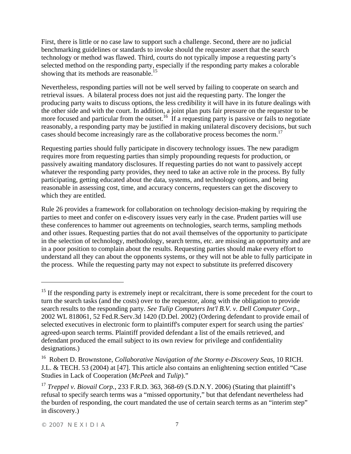First, there is little or no case law to support such a challenge. Second, there are no judicial benchmarking guidelines or standards to invoke should the requester assert that the search technology or method was flawed. Third, courts do not typically impose a requesting party's selected method on the responding party, especially if the responding party makes a colorable showing that its methods are reasonable.<sup>15</sup>

Nevertheless, responding parties will not be well served by failing to cooperate on search and retrieval issues. A bilateral process does not just aid the requesting party. The longer the producing party waits to discuss options, the less credibility it will have in its future dealings with the other side and with the court. In addition, a joint plan puts fair pressure on the requestor to be more focused and particular from the outset.<sup>16</sup> If a requesting party is passive or fails to negotiate reasonably, a responding party may be justified in making unilateral discovery decisions, but such cases should become increasingly rare as the collaborative process becomes the norm.<sup>17</sup>

Requesting parties should fully participate in discovery technology issues. The new paradigm requires more from requesting parties than simply propounding requests for production, or passively awaiting mandatory disclosures. If requesting parties do not want to passively accept whatever the responding party provides, they need to take an active role in the process. By fully participating, getting educated about the data, systems, and technology options, and being reasonable in assessing cost, time, and accuracy concerns, requesters can get the discovery to which they are entitled.

Rule 26 provides a framework for collaboration on technology decision-making by requiring the parties to meet and confer on e-discovery issues very early in the case. Prudent parties will use these conferences to hammer out agreements on technologies, search terms, sampling methods and other issues. Requesting parties that do not avail themselves of the opportunity to participate in the selection of technology, methodology, search terms, etc. are missing an opportunity and are in a poor position to complain about the results. Requesting parties should make every effort to understand all they can about the opponents systems, or they will not be able to fully participate in the process. While the requesting party may not expect to substitute its preferred discovery

<sup>&</sup>lt;sup>15</sup> If the responding party is extremely inept or recalcitrant, there is some precedent for the court to turn the search tasks (and the costs) over to the requestor, along with the obligation to provide search results to the responding party. *See Tulip Computers Int'l B.V. v. Dell Computer Corp.*, 2002 WL 818061, 52 Fed.R.Serv.3d 1420 (D.Del. 2002) (Ordering defendant to provide email of selected executives in electronic form to plaintiff's computer expert for search using the parties' agreed-upon search terms. Plaintiff provided defendant a list of the emails retrieved, and defendant produced the email subject to its own review for privilege and confidentiality designations.)

<sup>16</sup> Robert D. Brownstone, *Collaborative Navigation of the Stormy e-Discovery Seas*, 10 RICH. J.L. & TECH. 53 (2004) at [47]. This article also contains an enlightening section entitled "Case Studies in Lack of Cooperation (*McPeek* and *Tulip*)."

<sup>&</sup>lt;sup>17</sup> *Treppel v. Biovail Corp.*, 233 F.R.D. 363, 368-69 (S.D.N.Y. 2006) (Stating that plaintiff's refusal to specify search terms was a "missed opportunity," but that defendant nevertheless had the burden of responding, the court mandated the use of certain search terms as an "interim step" in discovery.)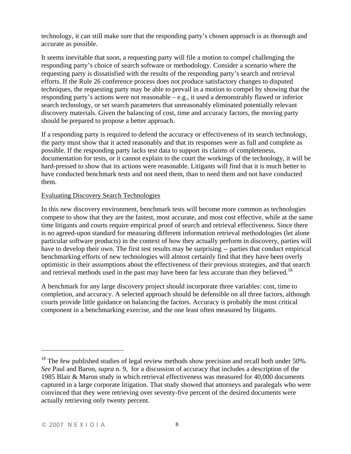technology, it can still make sure that the responding party's chosen approach is as thorough and accurate as possible.

It seems inevitable that soon, a requesting party will file a motion to compel challenging the responding party's choice of search software or methodology. Consider a scenario where the requesting party is dissatisfied with the results of the responding party's search and retrieval efforts. If the Rule 26 conference process does not produce satisfactory changes to disputed techniques, the requesting party may be able to prevail in a motion to compel by showing that the responding party's actions were not reasonable – e.g., it used a demonstrably flawed or inferior search technology, or set search parameters that unreasonably eliminated potentially relevant discovery materials. Given the balancing of cost, time and accuracy factors, the moving party should be prepared to propose a better approach.

If a responding party is required to defend the accuracy or effectiveness of its search technology, the party must show that it acted reasonably and that its responses were as full and complete as possible. If the responding party lacks test data to support its claims of completeness, documentation for tests, or it cannot explain to the court the workings of the technology, it will be hard-pressed to show that its actions were reasonable. Litigants will find that it is much better to have conducted benchmark tests and not need them, than to need them and not have conducted them.

# Evaluating Discovery Search Technologies

In this new discovery environment, benchmark tests will become more common as technologies compete to show that they are the fastest, most accurate, and most cost effective, while at the same time litigants and courts require empirical proof of search and retrieval effectiveness. Since there is no agreed-upon standard for measuring different information retrieval methodologies (let alone particular software products) in the context of how they actually perform in discovery, parties will have to develop their own. The first test results may be surprising -- parties that conduct empirical benchmarking efforts of new technologies will almost certainly find that they have been overly optimistic in their assumptions about the effectiveness of their previous strategies, and that search and retrieval methods used in the past may have been far less accurate than they believed.<sup>18</sup>

A benchmark for any large discovery project should incorporate three variables: cost, time to completion, and accuracy. A selected approach should be defensible on all three factors, although courts provide little guidance on balancing the factors. Accuracy is probably the most critical component in a benchmarking exercise, and the one least often measured by litigants.

1

 $18$  The few published studies of legal review methods show precision and recall both under 50%. *See* Paul and Baron, *supra* n. 9, for a discussion of accuracy that includes a description of the 1985 Blair & Maron study in which retrieval effectiveness was measured for 40,000 documents captured in a large corporate litigation. That study showed that attorneys and paralegals who were convinced that they were retrieving over seventy-five percent of the desired documents were actually retrieving only twenty percent.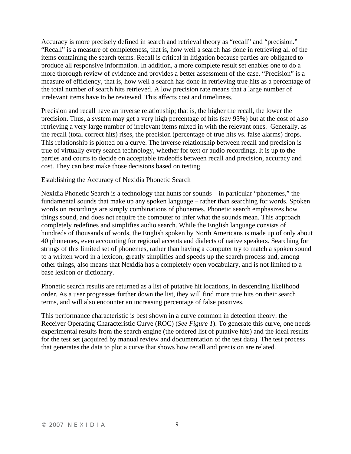Accuracy is more precisely defined in search and retrieval theory as "recall" and "precision." "Recall" is a measure of completeness, that is, how well a search has done in retrieving all of the items containing the search terms. Recall is critical in litigation because parties are obligated to produce all responsive information. In addition, a more complete result set enables one to do a more thorough review of evidence and provides a better assessment of the case. "Precision" is a measure of efficiency, that is, how well a search has done in retrieving true hits as a percentage of the total number of search hits retrieved. A low precision rate means that a large number of irrelevant items have to be reviewed. This affects cost and timeliness.

Precision and recall have an inverse relationship; that is, the higher the recall, the lower the precision. Thus, a system may get a very high percentage of hits (say 95%) but at the cost of also retrieving a very large number of irrelevant items mixed in with the relevant ones. Generally, as the recall (total correct hits) rises, the precision (percentage of true hits vs. false alarms) drops. This relationship is plotted on a curve. The inverse relationship between recall and precision is true of virtually every search technology, whether for text or audio recordings. It is up to the parties and courts to decide on acceptable tradeoffs between recall and precision, accuracy and cost. They can best make those decisions based on testing.

#### Establishing the Accuracy of Nexidia Phonetic Search

Nexidia Phonetic Search is a technology that hunts for sounds – in particular "phonemes," the fundamental sounds that make up any spoken language – rather than searching for words. Spoken words on recordings are simply combinations of phonemes. Phonetic search emphasizes how things sound, and does not require the computer to infer what the sounds mean. This approach completely redefines and simplifies audio search. While the English language consists of hundreds of thousands of words, the English spoken by North Americans is made up of only about 40 phonemes, even accounting for regional accents and dialects of native speakers. Searching for strings of this limited set of phonemes, rather than having a computer try to match a spoken sound to a written word in a lexicon, greatly simplifies and speeds up the search process and, among other things, also means that Nexidia has a completely open vocabulary, and is not limited to a base lexicon or dictionary.

Phonetic search results are returned as a list of putative hit locations, in descending likelihood order. As a user progresses further down the list, they will find more true hits on their search terms, and will also encounter an increasing percentage of false positives.

This performance characteristic is best shown in a curve common in detection theory: the Receiver Operating Characteristic Curve (ROC) (*See Figure 1*). To generate this curve, one needs experimental results from the search engine (the ordered list of putative hits) and the ideal results for the test set (acquired by manual review and documentation of the test data). The test process that generates the data to plot a curve that shows how recall and precision are related.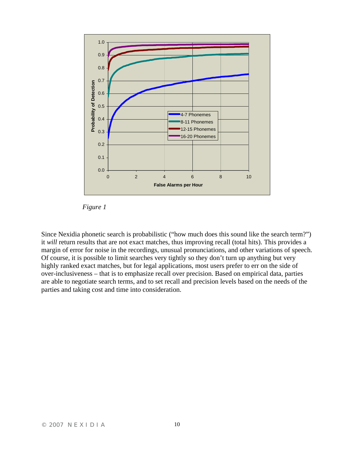

*Figure 1* 

Since Nexidia phonetic search is probabilistic ("how much does this sound like the search term?") it *will* return results that are not exact matches, thus improving recall (total hits). This provides a margin of error for noise in the recordings, unusual pronunciations, and other variations of speech. Of course, it is possible to limit searches very tightly so they don't turn up anything but very highly ranked exact matches, but for legal applications, most users prefer to err on the side of over-inclusiveness – that is to emphasize recall over precision. Based on empirical data, parties are able to negotiate search terms, and to set recall and precision levels based on the needs of the parties and taking cost and time into consideration.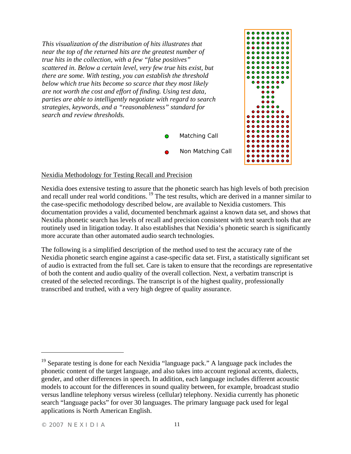*This visualization of the distribution of hits illustrates that near the top of the returned hits are the greatest number of true hits in the collection, with a few "false positives" scattered in. Below a certain level, very few true hits exist, but there are some. With testing, you can establish the threshold below which true hits become so scarce that they most likely are not worth the cost and effort of finding. Using test data, parties are able to intelligently negotiate with regard to search strategies, keywords, and a "reasonableness" standard for search and review thresholds.* 





### Nexidia Methodology for Testing Recall and Precision

Nexidia does extensive testing to assure that the phonetic search has high levels of both precision and recall under real world conditions.<sup>19</sup> The test results, which are derived in a manner similar to the case-specific methodology described below, are available to Nexidia customers. This documentation provides a valid, documented benchmark against a known data set, and shows that Nexidia phonetic search has levels of recall and precision consistent with text search tools that are routinely used in litigation today. It also establishes that Nexidia's phonetic search is significantly more accurate than other automated audio search technologies.

The following is a simplified description of the method used to test the accuracy rate of the Nexidia phonetic search engine against a case-specific data set. First, a statistically significant set of audio is extracted from the full set. Care is taken to ensure that the recordings are representative of both the content and audio quality of the overall collection. Next, a verbatim transcript is created of the selected recordings. The transcript is of the highest quality, professionally transcribed and truthed, with a very high degree of quality assurance.

<sup>&</sup>lt;sup>19</sup> Separate testing is done for each Nexidia "language pack." A language pack includes the phonetic content of the target language, and also takes into account regional accents, dialects, gender, and other differences in speech. In addition, each language includes different acoustic models to account for the differences in sound quality between, for example, broadcast studio versus landline telephony versus wireless (cellular) telephony. Nexidia currently has phonetic search "language packs" for over 30 languages. The primary language pack used for legal applications is North American English.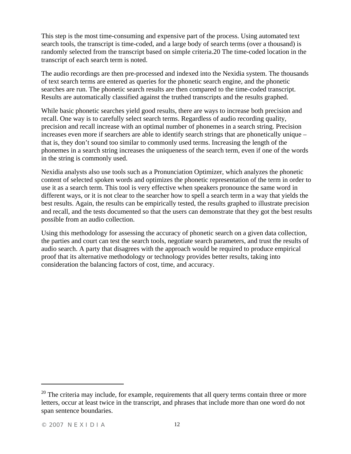This step is the most time-consuming and expensive part of the process. Using automated text search tools, the transcript is time-coded, and a large body of search terms (over a thousand) is randomly selected from the transcript based on simple criteria.20 The time-coded location in the transcript of each search term is noted.

The audio recordings are then pre-processed and indexed into the Nexidia system. The thousands of text search terms are entered as queries for the phonetic search engine, and the phonetic searches are run. The phonetic search results are then compared to the time-coded transcript. Results are automatically classified against the truthed transcripts and the results graphed.

While basic phonetic searches yield good results, there are ways to increase both precision and recall. One way is to carefully select search terms. Regardless of audio recording quality, precision and recall increase with an optimal number of phonemes in a search string. Precision increases even more if searchers are able to identify search strings that are phonetically unique – that is, they don't sound too similar to commonly used terms. Increasing the length of the phonemes in a search string increases the uniqueness of the search term, even if one of the words in the string is commonly used.

Nexidia analysts also use tools such as a Pronunciation Optimizer, which analyzes the phonetic content of selected spoken words and optimizes the phonetic representation of the term in order to use it as a search term. This tool is very effective when speakers pronounce the same word in different ways, or it is not clear to the searcher how to spell a search term in a way that yields the best results. Again, the results can be empirically tested, the results graphed to illustrate precision and recall, and the tests documented so that the users can demonstrate that they got the best results possible from an audio collection.

Using this methodology for assessing the accuracy of phonetic search on a given data collection, the parties and court can test the search tools, negotiate search parameters, and trust the results of audio search. A party that disagrees with the approach would be required to produce empirical proof that its alternative methodology or technology provides better results, taking into consideration the balancing factors of cost, time, and accuracy.

 $20$  The criteria may include, for example, requirements that all query terms contain three or more letters, occur at least twice in the transcript, and phrases that include more than one word do not span sentence boundaries.